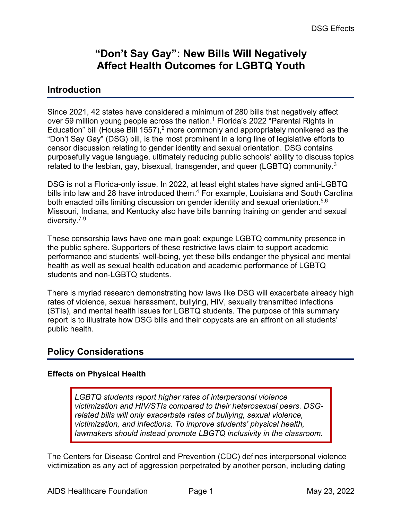# **"Don't Say Gay": New Bills Will Negatively Affect Health Outcomes for LGBTQ Youth**

### **Introduction**

Since 2021, 42 states have considered a minimum of 280 bills that negatively affect over 59 million young people across the nation.<sup>1</sup> Florida's 2022 "Parental Rights in Education" bill (House Bill 1557),<sup>2</sup> more commonly and appropriately monikered as the "Don't Say Gay" (DSG) bill, is the most prominent in a long line of legislative efforts to censor discussion relating to gender identity and sexual orientation. DSG contains purposefully vague language, ultimately reducing public schools' ability to discuss topics related to the lesbian, gay, bisexual, transgender, and queer (LGBTQ) community.<sup>3</sup>

DSG is not a Florida-only issue. In 2022, at least eight states have signed anti-LGBTQ bills into law and 28 have introduced them.<sup>4</sup> For example, Louisiana and South Carolina both enacted bills limiting discussion on gender identity and sexual orientation.<sup>5,6</sup> Missouri, Indiana, and Kentucky also have bills banning training on gender and sexual diversity.7-9

These censorship laws have one main goal: expunge LGBTQ community presence in the public sphere. Supporters of these restrictive laws claim to support academic performance and students' well-being, yet these bills endanger the physical and mental health as well as sexual health education and academic performance of LGBTQ students and non-LGBTQ students.

There is myriad research demonstrating how laws like DSG will exacerbate already high rates of violence, sexual harassment, bullying, HIV, sexually transmitted infections (STIs), and mental health issues for LGBTQ students. The purpose of this summary report is to illustrate how DSG bills and their copycats are an affront on all students' public health.

## **Policy Considerations**

#### **Effects on Physical Health**

*LGBTQ students report higher rates of interpersonal violence victimization and HIV/STIs compared to their heterosexual peers. DSGrelated bills will only exacerbate rates of bullying, sexual violence, victimization, and infections. To improve students' physical health, lawmakers should instead promote LBGTQ inclusivity in the classroom.*

The Centers for Disease Control and Prevention (CDC) defines interpersonal violence victimization as any act of aggression perpetrated by another person, including dating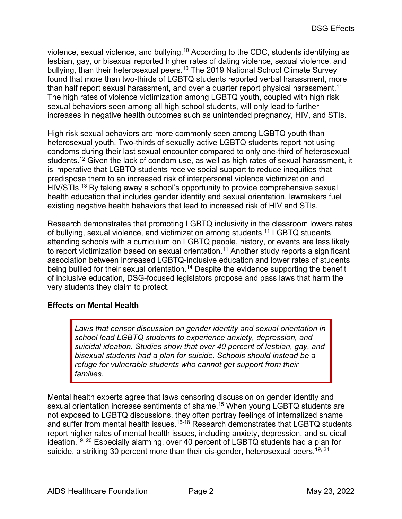violence, sexual violence, and bullying.10 According to the CDC, students identifying as lesbian, gay, or bisexual reported higher rates of dating violence, sexual violence, and bullying, than their heterosexual peers.<sup>10</sup> The 2019 National School Climate Survey found that more than two-thirds of LGBTQ students reported verbal harassment, more than half report sexual harassment, and over a quarter report physical harassment.<sup>11</sup> The high rates of violence victimization among LGBTQ youth, coupled with high risk sexual behaviors seen among all high school students, will only lead to further increases in negative health outcomes such as unintended pregnancy, HIV, and STIs.

High risk sexual behaviors are more commonly seen among LGBTQ youth than heterosexual youth. Two-thirds of sexually active LGBTQ students report not using condoms during their last sexual encounter compared to only one-third of heterosexual students.<sup>12</sup> Given the lack of condom use, as well as high rates of sexual harassment, it is imperative that LGBTQ students receive social support to reduce inequities that predispose them to an increased risk of interpersonal violence victimization and HIV/STIs.<sup>13</sup> By taking away a school's opportunity to provide comprehensive sexual health education that includes gender identity and sexual orientation, lawmakers fuel existing negative health behaviors that lead to increased risk of HIV and STIs.

Research demonstrates that promoting LGBTQ inclusivity in the classroom lowers rates of bullying, sexual violence, and victimization among students.<sup>11</sup> LGBTQ students attending schools with a curriculum on LGBTQ people, history, or events are less likely to report victimization based on sexual orientation.<sup>11</sup> Another study reports a significant association between increased LGBTQ-inclusive education and lower rates of students being bullied for their sexual orientation.<sup>14</sup> Despite the evidence supporting the benefit of inclusive education, DSG-focused legislators propose and pass laws that harm the very students they claim to protect.

#### **Effects on Mental Health**

*Laws that censor discussion on gender identity and sexual orientation in school lead LGBTQ students to experience anxiety, depression, and suicidal ideation. Studies show that over 40 percent of lesbian, gay, and bisexual students had a plan for suicide. Schools should instead be a refuge for vulnerable students who cannot get support from their families.*

Mental health experts agree that laws censoring discussion on gender identity and sexual orientation increase sentiments of shame.<sup>15</sup> When young LGBTQ students are not exposed to LGBTQ discussions, they often portray feelings of internalized shame and suffer from mental health issues.<sup>16-18</sup> Research demonstrates that LGBTQ students report higher rates of mental health issues, including anxiety, depression, and suicidal ideation.19, 20 Especially alarming, over 40 percent of LGBTQ students had a plan for suicide, a striking 30 percent more than their cis-gender, heterosexual peers.<sup>19, 21</sup>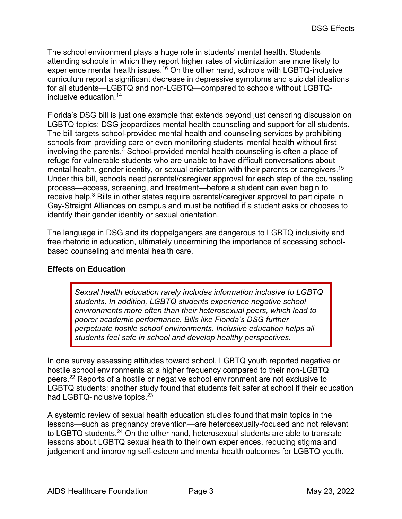The school environment plays a huge role in students' mental health. Students attending schools in which they report higher rates of victimization are more likely to experience mental health issues.<sup>16</sup> On the other hand, schools with LGBTQ-inclusive curriculum report a significant decrease in depressive symptoms and suicidal ideations for all students—LGBTQ and non-LGBTQ—compared to schools without LGBTQinclusive education.14

Florida's DSG bill is just one example that extends beyond just censoring discussion on LGBTQ topics; DSG jeopardizes mental health counseling and support for all students. The bill targets school-provided mental health and counseling services by prohibiting schools from providing care or even monitoring students' mental health without first involving the parents.<sup>3</sup> School-provided mental health counseling is often a place of refuge for vulnerable students who are unable to have difficult conversations about mental health, gender identity, or sexual orientation with their parents or caregivers.<sup>15</sup> Under this bill, schools need parental/caregiver approval for each step of the counseling process—access, screening, and treatment—before a student can even begin to receive help.<sup>3</sup> Bills in other states require parental/caregiver approval to participate in Gay-Straight Alliances on campus and must be notified if a student asks or chooses to identify their gender identity or sexual orientation.

The language in DSG and its doppelgangers are dangerous to LGBTQ inclusivity and free rhetoric in education, ultimately undermining the importance of accessing schoolbased counseling and mental health care.

#### **Effects on Education**

*Sexual health education rarely includes information inclusive to LGBTQ students. In addition, LGBTQ students experience negative school environments more often than their heterosexual peers, which lead to poorer academic performance. Bills like Florida's DSG further perpetuate hostile school environments. Inclusive education helps all students feel safe in school and develop healthy perspectives.*

In one survey assessing attitudes toward school, LGBTQ youth reported negative or hostile school environments at a higher frequency compared to their non-LGBTQ peers.22 Reports of a hostile or negative school environment are not exclusive to LGBTQ students; another study found that students felt safer at school if their education had LGBTQ-inclusive topics.<sup>23</sup>

A systemic review of sexual health education studies found that main topics in the lessons—such as pregnancy prevention—are heterosexually-focused and not relevant to LGBTQ students.<sup>24</sup> On the other hand, heterosexual students are able to translate lessons about LGBTQ sexual health to their own experiences, reducing stigma and judgement and improving self-esteem and mental health outcomes for LGBTQ youth.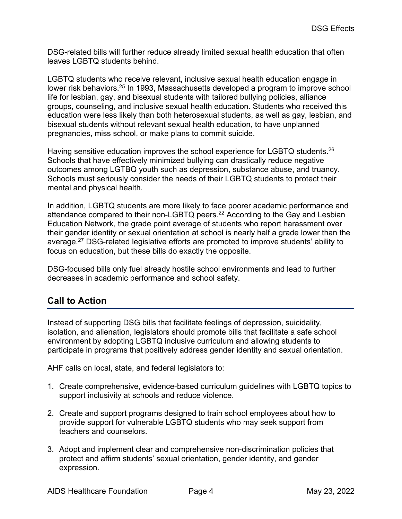DSG-related bills will further reduce already limited sexual health education that often leaves LGBTQ students behind.

LGBTQ students who receive relevant, inclusive sexual health education engage in lower risk behaviors.<sup>25</sup> In 1993, Massachusetts developed a program to improve school life for lesbian, gay, and bisexual students with tailored bullying policies, alliance groups, counseling, and inclusive sexual health education. Students who received this education were less likely than both heterosexual students, as well as gay, lesbian, and bisexual students without relevant sexual health education, to have unplanned pregnancies, miss school, or make plans to commit suicide.

Having sensitive education improves the school experience for LGBTQ students.<sup>26</sup> Schools that have effectively minimized bullying can drastically reduce negative outcomes among LGTBQ youth such as depression, substance abuse, and truancy. Schools must seriously consider the needs of their LGBTQ students to protect their mental and physical health.

In addition, LGBTQ students are more likely to face poorer academic performance and attendance compared to their non-LGBTQ peers.<sup>22</sup> According to the Gay and Lesbian Education Network, the grade point average of students who report harassment over their gender identity or sexual orientation at school is nearly half a grade lower than the average.27 DSG-related legislative efforts are promoted to improve students' ability to focus on education, but these bills do exactly the opposite.

DSG-focused bills only fuel already hostile school environments and lead to further decreases in academic performance and school safety.

## **Call to Action**

Instead of supporting DSG bills that facilitate feelings of depression, suicidality, isolation, and alienation, legislators should promote bills that facilitate a safe school environment by adopting LGBTQ inclusive curriculum and allowing students to participate in programs that positively address gender identity and sexual orientation.

AHF calls on local, state, and federal legislators to:

- 1. Create comprehensive, evidence-based curriculum guidelines with LGBTQ topics to support inclusivity at schools and reduce violence.
- 2. Create and support programs designed to train school employees about how to provide support for vulnerable LGBTQ students who may seek support from teachers and counselors.
- 3. Adopt and implement clear and comprehensive non-discrimination policies that protect and affirm students' sexual orientation, gender identity, and gender expression.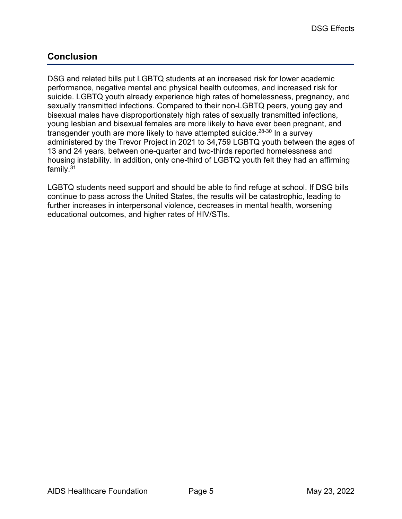# **Conclusion**

DSG and related bills put LGBTQ students at an increased risk for lower academic performance, negative mental and physical health outcomes, and increased risk for suicide. LGBTQ youth already experience high rates of homelessness, pregnancy, and sexually transmitted infections. Compared to their non-LGBTQ peers, young gay and bisexual males have disproportionately high rates of sexually transmitted infections, young lesbian and bisexual females are more likely to have ever been pregnant, and transgender youth are more likely to have attempted suicide.<sup>28-30</sup> In a survey administered by the Trevor Project in 2021 to 34,759 LGBTQ youth between the ages of 13 and 24 years, between one-quarter and two-thirds reported homelessness and housing instability. In addition, only one-third of LGBTQ youth felt they had an affirming family.31

LGBTQ students need support and should be able to find refuge at school. If DSG bills continue to pass across the United States, the results will be catastrophic, leading to further increases in interpersonal violence, decreases in mental health, worsening educational outcomes, and higher rates of HIV/STIs.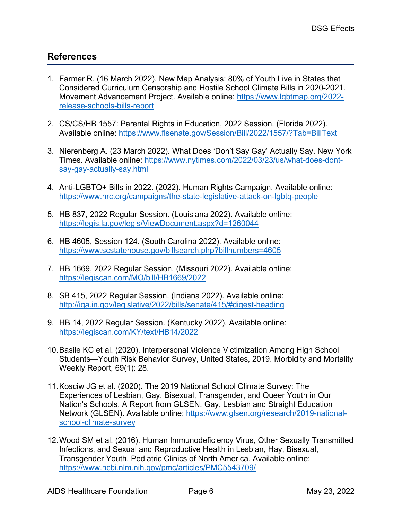## **References**

- 1. Farmer R. (16 March 2022). New Map Analysis: 80% of Youth Live in States that Considered Curriculum Censorship and Hostile School Climate Bills in 2020-2021. Movement Advancement Project. Available online: https://www.lgbtmap.org/2022 release-schools-bills-report
- 2. CS/CS/HB 1557: Parental Rights in Education, 2022 Session. (Florida 2022). Available online: https://www.flsenate.gov/Session/Bill/2022/1557/?Tab=BillText
- 3. Nierenberg A. (23 March 2022). What Does 'Don't Say Gay' Actually Say. New York Times. Available online: https://www.nytimes.com/2022/03/23/us/what-does-dontsay-gay-actually-say.html
- 4. Anti-LGBTQ+ Bills in 2022. (2022). Human Rights Campaign. Available online: https://www.hrc.org/campaigns/the-state-legislative-attack-on-lgbtq-people
- 5. HB 837, 2022 Regular Session. (Louisiana 2022). Available online: https://legis.la.gov/legis/ViewDocument.aspx?d=1260044
- 6. HB 4605, Session 124. (South Carolina 2022). Available online: https://www.scstatehouse.gov/billsearch.php?billnumbers=4605
- 7. HB 1669, 2022 Regular Session. (Missouri 2022). Available online: https://legiscan.com/MO/bill/HB1669/2022
- 8. SB 415, 2022 Regular Session. (Indiana 2022). Available online: http://iga.in.gov/legislative/2022/bills/senate/415/#digest-heading
- 9. HB 14, 2022 Regular Session. (Kentucky 2022). Available online: https://legiscan.com/KY/text/HB14/2022
- 10.Basile KC et al. (2020). Interpersonal Violence Victimization Among High School Students—Youth Risk Behavior Survey, United States, 2019. Morbidity and Mortality Weekly Report, 69(1): 28.
- 11.Kosciw JG et al. (2020). The 2019 National School Climate Survey: The Experiences of Lesbian, Gay, Bisexual, Transgender, and Queer Youth in Our Nation's Schools. A Report from GLSEN. Gay, Lesbian and Straight Education Network (GLSEN). Available online: https://www.glsen.org/research/2019-nationalschool-climate-survey
- 12.Wood SM et al. (2016). Human Immunodeficiency Virus, Other Sexually Transmitted Infections, and Sexual and Reproductive Health in Lesbian, Hay, Bisexual, Transgender Youth. Pediatric Clinics of North America. Available online: https://www.ncbi.nlm.nih.gov/pmc/articles/PMC5543709/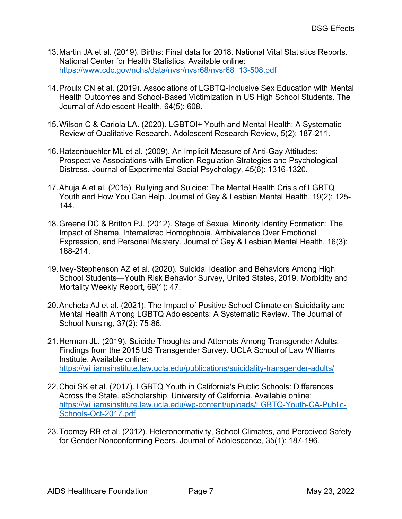- 13.Martin JA et al. (2019). Births: Final data for 2018. National Vital Statistics Reports. National Center for Health Statistics. Available online: https://www.cdc.gov/nchs/data/nvsr/nvsr68/nvsr68\_13-508.pdf
- 14.Proulx CN et al. (2019). Associations of LGBTQ-Inclusive Sex Education with Mental Health Outcomes and School-Based Victimization in US High School Students. The Journal of Adolescent Health, 64(5): 608.
- 15.Wilson C & Cariola LA. (2020). LGBTQI+ Youth and Mental Health: A Systematic Review of Qualitative Research. Adolescent Research Review, 5(2): 187-211.
- 16.Hatzenbuehler ML et al. (2009). An Implicit Measure of Anti-Gay Attitudes: Prospective Associations with Emotion Regulation Strategies and Psychological Distress. Journal of Experimental Social Psychology, 45(6): 1316-1320.
- 17.Ahuja A et al. (2015). Bullying and Suicide: The Mental Health Crisis of LGBTQ Youth and How You Can Help. Journal of Gay & Lesbian Mental Health, 19(2): 125- 144.
- 18.Greene DC & Britton PJ. (2012). Stage of Sexual Minority Identity Formation: The Impact of Shame, Internalized Homophobia, Ambivalence Over Emotional Expression, and Personal Mastery. Journal of Gay & Lesbian Mental Health, 16(3): 188-214.
- 19.Ivey-Stephenson AZ et al. (2020). Suicidal Ideation and Behaviors Among High School Students—Youth Risk Behavior Survey, United States, 2019. Morbidity and Mortality Weekly Report, 69(1): 47.
- 20.Ancheta AJ et al. (2021). The Impact of Positive School Climate on Suicidality and Mental Health Among LGBTQ Adolescents: A Systematic Review. The Journal of School Nursing, 37(2): 75-86.
- 21.Herman JL. (2019). Suicide Thoughts and Attempts Among Transgender Adults: Findings from the 2015 US Transgender Survey. UCLA School of Law Williams Institute. Available online: https://williamsinstitute.law.ucla.edu/publications/suicidality-transgender-adults/
- 22.Choi SK et al. (2017). LGBTQ Youth in California's Public Schools: Differences Across the State. eScholarship, University of California. Available online: https://williamsinstitute.law.ucla.edu/wp-content/uploads/LGBTQ-Youth-CA-Public-Schools-Oct-2017.pdf
- 23.Toomey RB et al. (2012). Heteronormativity, School Climates, and Perceived Safety for Gender Nonconforming Peers. Journal of Adolescence, 35(1): 187-196.